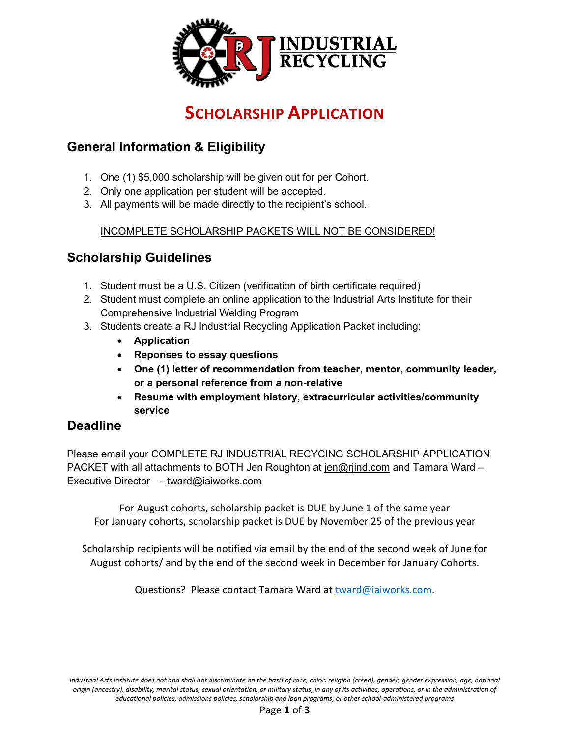

## **SCHOLARSHIP APPLICATION**

### **General Information & Eligibility**

- 1. One (1) \$5,000 scholarship will be given out for per Cohort.
- 2. Only one application per student will be accepted.
- 3. All payments will be made directly to the recipient's school.

#### INCOMPLETE SCHOLARSHIP PACKETS WILL NOT BE CONSIDERED!

#### **Scholarship Guidelines**

- 1. Student must be a U.S. Citizen (verification of birth certificate required)
- 2. Student must complete an online application to the Industrial Arts Institute for their Comprehensive Industrial Welding Program
- 3. Students create a RJ Industrial Recycling Application Packet including:
	- **Application**
	- **Reponses to essay questions**
	- **One (1) letter of recommendation from teacher, mentor, community leader, or a personal reference from a non-relative**
	- **Resume with employment history, extracurricular activities/community service**

#### **Deadline**

Please email your COMPLETE RJ INDUSTRIAL RECYCING SCHOLARSHIP APPLICATION PACKET with all attachments to BOTH Jen Roughton at [jen@rjind.com](mailto:jen@rjind.com) and Tamara Ward – Executive Director – [tward@iaiworks.com](mailto:tward@iaiworks.com)

For August cohorts, scholarship packet is DUE by June 1 of the same year For January cohorts, scholarship packet is DUE by November 25 of the previous year

Scholarship recipients will be notified via email by the end of the second week of June for August cohorts/ and by the end of the second week in December for January Cohorts.

Questions? Please contact Tamara Ward at [tward@iaiworks.com.](mailto:tward@iaiworks.com)

*Industrial Arts Institute does not and shall not discriminate on the basis of race, color, religion (creed), gender, gender expression, age, national origin (ancestry), disability, marital status, sexual orientation, or military status, in any of its activities, operations, or in the administration of educational policies, admissions policies, scholarship and loan programs, or other school-administered programs*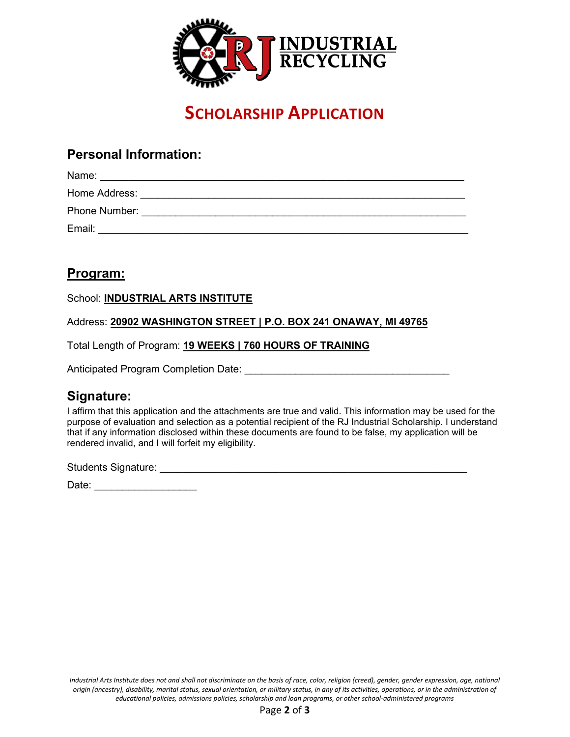

## **SCHOLARSHIP APPLICATION**

#### **Personal Information:**

| Name:         |  |  |
|---------------|--|--|
| Home Address: |  |  |
| Phone Number: |  |  |
| Email:        |  |  |

#### **Program:**

School: **INDUSTRIAL ARTS INSTITUTE**

Address: **20902 WASHINGTON STREET | P.O. BOX 241 ONAWAY, MI 49765**

Total Length of Program: **19 WEEKS | 760 HOURS OF TRAINING**

Anticipated Program Completion Date: \_\_\_\_\_\_\_\_\_\_\_\_\_\_\_\_\_\_\_\_\_\_\_\_\_\_\_\_\_\_\_\_\_\_\_\_

#### **Signature:**

I affirm that this application and the attachments are true and valid. This information may be used for the purpose of evaluation and selection as a potential recipient of the RJ Industrial Scholarship. I understand that if any information disclosed within these documents are found to be false, my application will be rendered invalid, and I will forfeit my eligibility.

Students Signature: \_\_\_\_\_\_\_\_\_\_\_\_\_\_\_\_\_\_\_\_\_\_\_\_\_\_\_\_\_\_\_\_\_\_\_\_\_\_\_\_\_\_\_\_\_\_\_\_\_\_\_\_\_\_

Date:  $\Box$